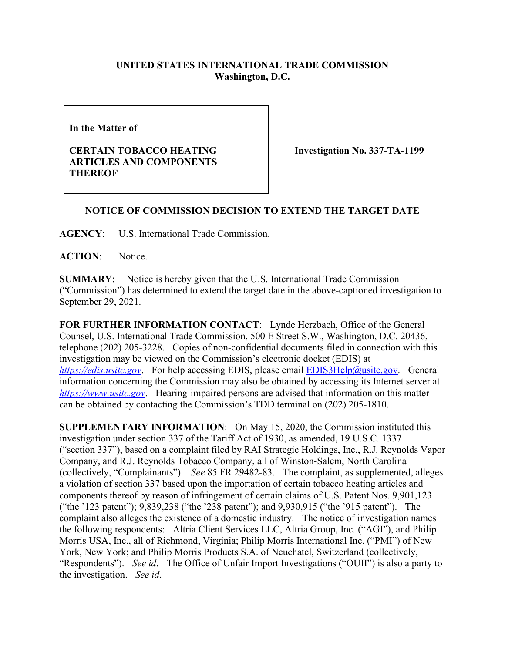## **UNITED STATES INTERNATIONAL TRADE COMMISSION Washington, D.C.**

**In the Matter of** 

## **CERTAIN TOBACCO HEATING ARTICLES AND COMPONENTS THEREOF**

**Investigation No. 337-TA-1199**

## **NOTICE OF COMMISSION DECISION TO EXTEND THE TARGET DATE**

**AGENCY**: U.S. International Trade Commission.

**ACTION**: Notice.

**SUMMARY**: Notice is hereby given that the U.S. International Trade Commission ("Commission") has determined to extend the target date in the above-captioned investigation to September 29, 2021.

**FOR FURTHER INFORMATION CONTACT**: Lynde Herzbach, Office of the General Counsel, U.S. International Trade Commission, 500 E Street S.W., Washington, D.C. 20436, telephone (202) 205-3228. Copies of non-confidential documents filed in connection with this investigation may be viewed on the Commission's electronic docket (EDIS) at *[https://edis.usitc.gov](https://edis.usitc.gov/).* For help accessing EDIS, please email **EDIS3Help@usitc.gov**. General information concerning the Commission may also be obtained by accessing its Internet server at *[https://www.usitc.gov](https://www.usitc.gov/)*. Hearing-impaired persons are advised that information on this matter can be obtained by contacting the Commission's TDD terminal on (202) 205-1810.

**SUPPLEMENTARY INFORMATION**: On May 15, 2020, the Commission instituted this investigation under section 337 of the Tariff Act of 1930, as amended, 19 U.S.C. 1337 ("section 337"), based on a complaint filed by RAI Strategic Holdings, Inc., R.J. Reynolds Vapor Company, and R.J. Reynolds Tobacco Company, all of Winston-Salem, North Carolina (collectively, "Complainants"). *See* 85 FR 29482-83. The complaint, as supplemented, alleges a violation of section 337 based upon the importation of certain tobacco heating articles and components thereof by reason of infringement of certain claims of U.S. Patent Nos. 9,901,123 ("the '123 patent"); 9,839,238 ("the '238 patent"); and 9,930,915 ("the '915 patent"). The complaint also alleges the existence of a domestic industry. The notice of investigation names the following respondents: Altria Client Services LLC, Altria Group, Inc. ("AGI"), and Philip Morris USA, Inc., all of Richmond, Virginia; Philip Morris International Inc. ("PMI") of New York, New York; and Philip Morris Products S.A. of Neuchatel, Switzerland (collectively, "Respondents"). *See id*. The Office of Unfair Import Investigations ("OUII") is also a party to the investigation. *See id*.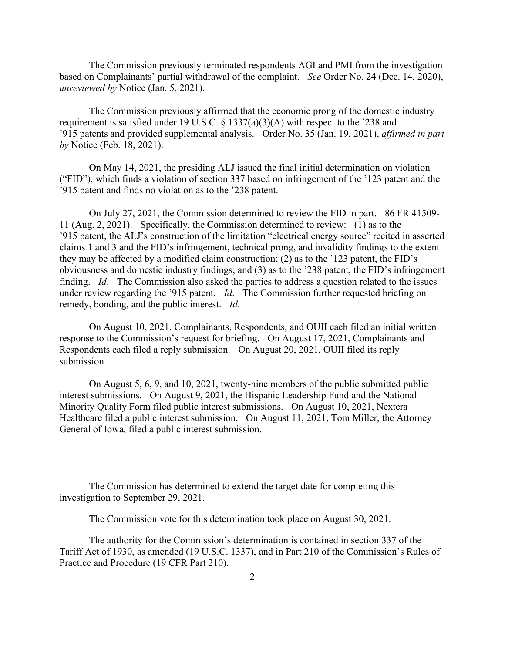The Commission previously terminated respondents AGI and PMI from the investigation based on Complainants' partial withdrawal of the complaint. *See* Order No. 24 (Dec. 14, 2020), *unreviewed by* Notice (Jan. 5, 2021).

The Commission previously affirmed that the economic prong of the domestic industry requirement is satisfied under 19 U.S.C. § 1337(a)(3)(A) with respect to the '238 and '915 patents and provided supplemental analysis. Order No. 35 (Jan. 19, 2021), *affirmed in part by* Notice (Feb. 18, 2021).

On May 14, 2021, the presiding ALJ issued the final initial determination on violation ("FID"), which finds a violation of section 337 based on infringement of the '123 patent and the '915 patent and finds no violation as to the '238 patent.

On July 27, 2021, the Commission determined to review the FID in part. 86 FR 41509- 11 (Aug. 2, 2021). Specifically, the Commission determined to review: (1) as to the '915 patent, the ALJ's construction of the limitation "electrical energy source" recited in asserted claims 1 and 3 and the FID's infringement, technical prong, and invalidity findings to the extent they may be affected by a modified claim construction; (2) as to the '123 patent, the FID's obviousness and domestic industry findings; and (3) as to the '238 patent, the FID's infringement finding. *Id*. The Commission also asked the parties to address a question related to the issues under review regarding the '915 patent. *Id*. The Commission further requested briefing on remedy, bonding, and the public interest. *Id*.

On August 10, 2021, Complainants, Respondents, and OUII each filed an initial written response to the Commission's request for briefing. On August 17, 2021, Complainants and Respondents each filed a reply submission. On August 20, 2021, OUII filed its reply submission.

On August 5, 6, 9, and 10, 2021, twenty-nine members of the public submitted public interest submissions. On August 9, 2021, the Hispanic Leadership Fund and the National Minority Quality Form filed public interest submissions. On August 10, 2021, Nextera Healthcare filed a public interest submission. On August 11, 2021, Tom Miller, the Attorney General of Iowa, filed a public interest submission.

The Commission has determined to extend the target date for completing this investigation to September 29, 2021.

The Commission vote for this determination took place on August 30, 2021.

The authority for the Commission's determination is contained in section 337 of the Tariff Act of 1930, as amended (19 U.S.C. 1337), and in Part 210 of the Commission's Rules of Practice and Procedure (19 CFR Part 210).